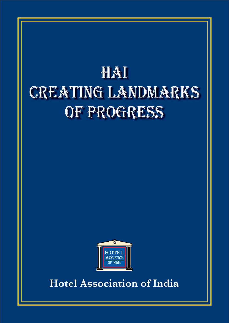# HAI **CREATING LANDMARKS** OF PROGRESS



**Hotel Association of India**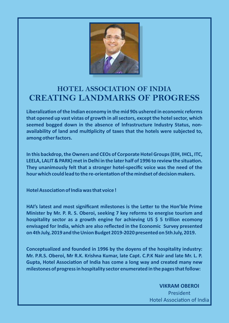

#### **HOTEL ASSOCIATION OF INDIA CREATING LANDMARKS OF PROGRESS**

Liberalization of the Indian economy in the mid 90s ushered in economic reforms **that opened up vast vistas of growth in all sectors, except the hotel sector, which seemed bogged down in the absence of Infrastructure Industry Status, non**availability of land and multiplicity of taxes that the hotels were subjected to, **among other factors.** 

**In this backdrop, the Owners and CEOs of Corporate Hotel Groups (EIH, IHCL, ITC,**  LEELA, LALIT & PARK) met in Delhi in the later half of 1996 to review the situation. **They unanimously felt that a stronger hotel-specific voice was the need of the**  hour which could lead to the re-orientation of the mindset of decision makers.

**Hotel Association of India was that voice !** 

HAI's latest and most significant milestones is the Letter to the Hon'ble Prime **Minister by Mr. P. R. S. Oberoi, seeking 7 key reforms to energise tourism and hospitality sector as a growth engine for achieving US \$ 5 trillion ecomony envisaged for India, which are also reflected in the Economic Survey presented on 4th July, 2019 and the Union Budget 2019-2020 presented on 5th July, 2019.**

**Conceptualized and founded in 1996 by the doyens of the hospitality industry: Mr. P.R.S. Oberoi, Mr R.K. Krishna Kumar, late Capt. C.P.K Nair and late Mr. L. P. Gupta, Hotel Association of India has come a long way and created many new milestones of progress in hospitality sector enumerated in the pages that follow:**

> **VIKRAM OBEROI** President Hotel Association of India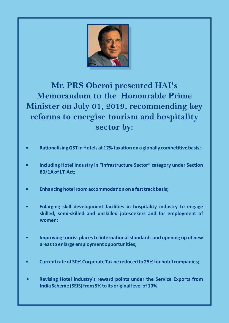

#### **Mr. PRS Oberoi presented HAI's Memorandum to the Honourable Prime Minister on July 01, 2019, recommending key reforms to energise tourism and hospitality sector by:**

- **Rationalising GST in Hotels at 12% taxation on a globally competitive basis;**
- **Including Hotel Industry in "Infrastructure Sector" category under Section 80/1A of I.T. Act;**
- **Enhancing hotel room accommodation on a fast track basis;**
- **Enlarging skill development facilities in hospitality industry to engage skilled, semi-skilled and unskilled job-seekers and for employment of women;**
- **Improving tourist places to international standards and opening up of new areas to enlarge employment opportunies;**
- **Current rate of 30% Corporate Tax be reduced to 25% for hotel companies;**
- **Revising Hotel industry's reward points under the Service Exports from India Scheme (SEIS) from 5% to its original level of 10%.**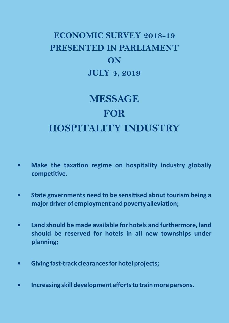## **ECONOMIC SURVEY 2018-19 PRESENTED IN PARLIAMENT ON JULY 4, 2019**

# **MESSAGE FOR HOSPITALITY INDUSTRY**

- **Make the taxation regime on hospitality industry globally** competitive.
- **State governments need to be sensitised about tourism being a** major driver of employment and poverty alleviation;
- **Land should be made available for hotels and furthermore, land should be reserved for hotels in all new townships under planning;**
- **Giving fast-track clearances for hotel projects;**
- **Increasing skill development efforts to train more persons.**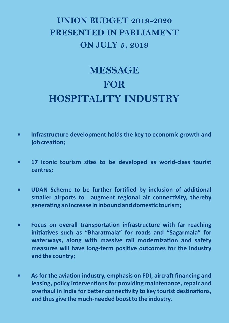### **UNION BUDGET 2019-2020 PRESENTED IN PARLIAMENT ON JULY 5, 2019**

# **MESSAGE FOR HOSPITALITY INDUSTRY**

- **Infrastructure development holds the key to economic growth and**   $job creation;$
- **17 iconic tourism sites to be developed as world-class tourist centres;**
- **UDAN Scheme to be further fortified by inclusion of additional** smaller airports to augment regional air connectivity, thereby generating an increase in inbound and domestic tourism;
- **Focus on overall transportation infrastructure with far reaching** initiatives such as "Bharatmala" for roads and "Sagarmala" for waterways, along with massive rail modernization and safety measures will have long-term positive outcomes for the industry **and the country;**
- **As for the aviation industry, emphasis on FDI, aircraft financing and** leasing, policy interventions for providing maintenance, repair and **overhaul in India for better connectivity to key tourist destinations, and thus give the much-needed boost to the industry.**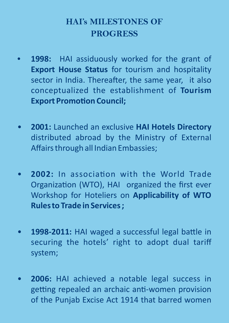#### **HAI's MILESTONES OF PROGRESS**

- 1998: HAI assiduously worked for the grant of **Export House Status** for tourism and hospitality sector in India. Thereafter, the same year, it also conceptualized the establishment of **Tourism Export Promotion Council;**
- **2001:** Launched an exclusive **HAI Hotels Directory** distributed abroad by the Ministry of External Affairs through all Indian Embassies;
- **2002:** In association with the World Trade Organization (WTO), HAI organized the first ever Workshop for Hoteliers on **Applicability of WTO Rules to Trade in Services ;**
- **1998-2011:** HAI waged a successful legal battle in securing the hotels' right to adopt dual tariff system;
- **2006:** HAI achieved a notable legal success in getting repealed an archaic anti-women provision of the Punjab Excise Act 1914 that barred women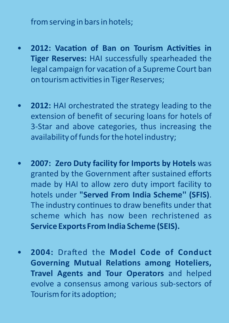from serving in bars in hotels;

- **2012: Vacation of Ban on Tourism Activities in Tiger Reserves:** HAI successfully spearheaded the legal campaign for vacation of a Supreme Court ban on tourism activities in Tiger Reserves;
- **2012:** HAI orchestrated the strategy leading to the extension of benefit of securing loans for hotels of 3-Star and above categories, thus increasing the availability of funds for the hotel industry;
- **2007: Zero Duty facility for Imports by Hotels** was granted by the Government after sustained efforts made by HAI to allow zero duty import facility to hotels under **"Served From India Scheme'' (SFIS)**. The industry continues to draw benefits under that scheme which has now been rechristened as **Service Exports From India Scheme (SEIS).**
- **2004: Drafted the Model Code of Conduct Governing Mutual Relations among Hoteliers, Travel Agents and Tour Operators** and helped evolve a consensus among various sub-sectors of Tourism for its adoption;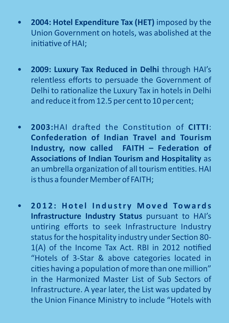- **2004: Hotel Expenditure Tax (HET)** imposed by the Union Government on hotels, was abolished at the initiative of HAI;
- **2009: Luxury Tax Reduced in Delhi** through HAI's relentless efforts to persuade the Government of Delhi to rationalize the Luxury Tax in hotels in Delhi and reduce it from 12.5 per cent to 10 per cent;
- **2003:**HAI drafted the Constitution of CITTI: **Confederation of Indian Travel and Tourism** Industry, now called FAITH - Federation of **Associations of Indian Tourism and Hospitality** as an umbrella organization of all tourism entities. HAI is thus a founder Member of FAITH;
- **2 0 1 2 : H o t e l I n d u s t r y M o v e d To w a r d s Infrastructure Industry Status** pursuant to HAI's untiring efforts to seek Infrastructure Industry status for the hospitality industry under Section 80-1(A) of the Income Tax Act. RBI in 2012 notified "Hotels of 3-Star & above categories located in cities having a population of more than one million" in the Harmonized Master List of Sub Sectors of Infrastructure. A year later, the List was updated by the Union Finance Ministry to include "Hotels with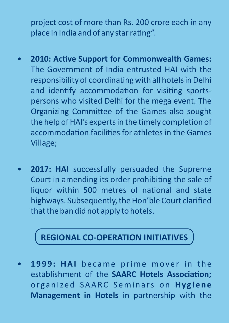project cost of more than Rs. 200 crore each in any place in India and of any star rating".

- **2010: Active Support for Commonwealth Games:** The Government of India entrusted HAI with the responsibility of coordinating with all hotels in Delhi and identify accommodation for visiting sportspersons who visited Delhi for the mega event. The Organizing Committee of the Games also sought the help of HAI's experts in the timely completion of accommodation facilities for athletes in the Games Village;
- 2017: HAI successfully persuaded the Supreme Court in amending its order prohibiting the sale of liquor within 500 metres of national and state highways. Subsequently, the Hon'ble Court clarified that the ban did not apply to hotels.

### **REGIONAL CO-OPERATION INITIATIVES**

1999: HAI became prime mover in the establishment of the **SAARC Hotels Association;** organized SAARC Seminars on Hygiene **Management in Hotels** in partnership with the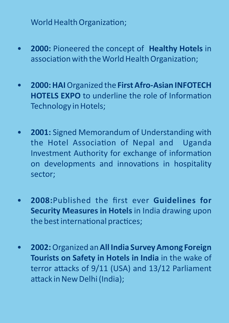World Health Organization;

- **2000:** Pioneered the concept of **Healthy Hotels** in association with the World Health Organization;
- **2000: HAI** Organized the **First Afro-Asian INFOTECH HOTELS EXPO** to underline the role of Information Technology in Hotels;
- **2001:** Signed Memorandum of Understanding with the Hotel Association of Nepal and Uganda Investment Authority for exchange of information on developments and innovations in hospitality sector;
- **2008:**Published the first ever **Guidelines for Security Measures in Hotels** in India drawing upon the best international practices;
- **2002:** Organized an **All India Survey Among Foreign Tourists on Safety in Hotels in India** in the wake of terror attacks of  $9/11$  (USA) and  $13/12$  Parliament attack in New Delhi (India);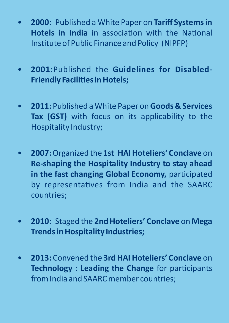- **2000:** Published a White Paper on **Tariff Systems in Hotels in India** in association with the National Institute of Public Finance and Policy (NIPFP)
- **2001:**Published the **Guidelines for Disabled-Friendly Facilities in Hotels;**
- **2011:** Published a White Paper on **Goods & Services Tax (GST)** with focus on its applicability to the Hospitality Industry;
- **2007:** Organized the **1st HAI Hoteliers' Conclave** on **Re-shaping the Hospitality Industry to stay ahead**  in the fast changing Global Economy, participated by representatives from India and the SAARC countries;
- **2010:** Staged the **2nd Hoteliers' Conclave** on **Mega Trends in Hospitality Industries;**
- **2013:** Convened the **3rd HAI Hoteliers' Conclave** on **Technology : Leading the Change** for participants from India and SAARC member countries;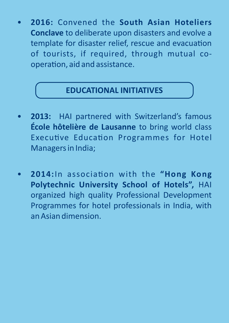• **2016:** Convened the **South Asian Hoteliers Conclave** to deliberate upon disasters and evolve a template for disaster relief, rescue and evacuation of tourists, if required, through mutual cooperation, aid and assistance.

#### **EDUCATIONAL INITIATIVES**

- **2013:** HAI partnered with Switzerland's famous **École hôtelière de Lausanne** to bring world class Executive Education Programmes for Hotel Managers in India;
- 2014:In association with the "Hong Kong **Polytechnic University School of Hotels",** HAI organized high quality Professional Development Programmes for hotel professionals in India, with an Asian dimension.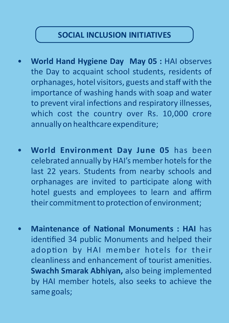#### **SOCIAL INCLUSION INITIATIVES**

- **World Hand Hygiene Day May 05 :** HAI observes the Day to acquaint school students, residents of orphanages, hotel visitors, guests and staff with the importance of washing hands with soap and water to prevent viral infections and respiratory illnesses, which cost the country over Rs. 10,000 crore annually on healthcare expenditure;
- **World Environment Day June 05** has been celebrated annually by HAI's member hotels for the last 22 years. Students from nearby schools and orphanages are invited to participate along with hotel guests and employees to learn and affirm their commitment to protection of environment;
- **Maintenance of National Monuments : HAI** has identified 34 public Monuments and helped their adoption by HAI member hotels for their cleanliness and enhancement of tourist amenities. **Swachh Smarak Abhiyan,** also being implemented by HAI member hotels, also seeks to achieve the same goals;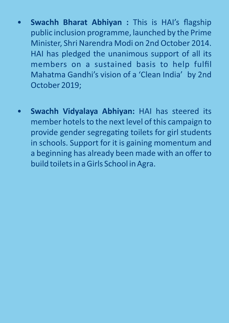- **Swachh Bharat Abhiyan :** This is HAI's flagship public inclusion programme, launched by the Prime Minister, Shri Narendra Modi on 2nd October 2014. HAI has pledged the unanimous support of all its members on a sustained basis to help fulfil Mahatma Gandhi's vision of a 'Clean India' by 2nd October 2019;
- **Swachh Vidyalaya Abhiyan:** HAI has steered its member hotels to the next level of this campaign to provide gender segregating toilets for girl students in schools. Support for it is gaining momentum and a beginning has already been made with an offer to build toilets in a Girls School in Agra.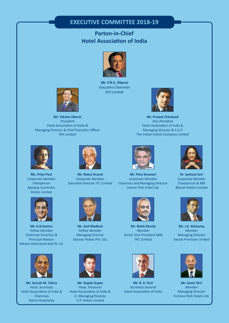#### **EXECUTIVE COMMITTEE 2018-19**

#### **Hotel Association of India Parton-in-Chief**



**Mr. P.R.S. Oberoi Executive Chairman** EIH Limited



**Mr. Puneet Chhatwal** *Vice President* Hotel Association of India & Managing Director & C.E.O The Indian Hotels Company Limited



**Ms. Priya Paul** *Corporate Member Chairperson* Apeejay Surrendra Hotels Limited



**Mr. K.B Kachru** *Fellow Member* Chairman Emeritus & Principal Advisor Radisson Hotels (South Asia) Pvt. Ltd.



**Mr. Suresh M. Talera** *Hony. Secretary* Hotel Association of India & Chairman Talera Hospitality



**Mr. Vikram Oberoi** *President* Hotel Association of India & Managing Director & Chief Executive Officer EIH Limited

**Mr. Nakul Anand** *Corporate Member* Executive Director ITC Limited



**Mr. Anil Madhok** *Fellow Member* Managing Director Sarovar Hotels Pvt. Ltd**.**



**Mr. Rupak Gupta** *Hony. Treasurer* Hotel Association of India & Jt. Managing Director U.P. Hotels Limited



**Mr. Patu Keswani** *Corporate Member* Chairman and Managing Director Lemon Tree Hotel Ltd.



**Mr. Rohit Khosla** *Member* Senior Vice President (NR) IHC Limited



**Mr. R. K. Puri** *Secretary General* Hotel Association of India



**Dr. Jyotsna Suri** *Corporate Member* Chairperson & MD Bharat Hotels Limited



**Mr. J.K. Mohanty** *Member* Managing Director Swosti Premium Limited



**Mr. Samir M.C** *Member* Managing Director Fortune Park Hotels Ltd.